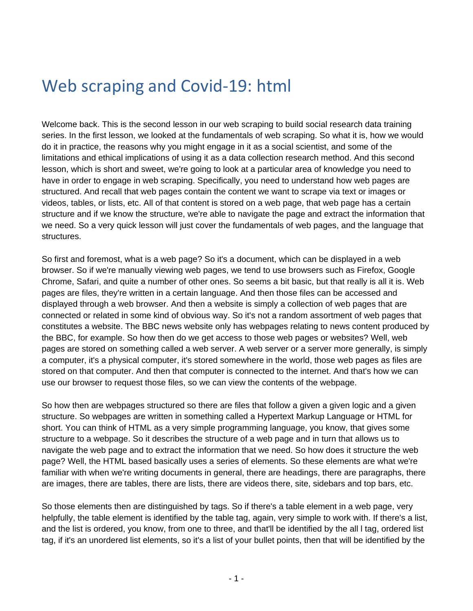## Web scraping and Covid-19: html

Welcome back. This is the second lesson in our web scraping to build social research data training series. In the first lesson, we looked at the fundamentals of web scraping. So what it is, how we would do it in practice, the reasons why you might engage in it as a social scientist, and some of the limitations and ethical implications of using it as a data collection research method. And this second lesson, which is short and sweet, we're going to look at a particular area of knowledge you need to have in order to engage in web scraping. Specifically, you need to understand how web pages are structured. And recall that web pages contain the content we want to scrape via text or images or videos, tables, or lists, etc. All of that content is stored on a web page, that web page has a certain structure and if we know the structure, we're able to navigate the page and extract the information that we need. So a very quick lesson will just cover the fundamentals of web pages, and the language that structures.

So first and foremost, what is a web page? So it's a document, which can be displayed in a web browser. So if we're manually viewing web pages, we tend to use browsers such as Firefox, Google Chrome, Safari, and quite a number of other ones. So seems a bit basic, but that really is all it is. Web pages are files, they're written in a certain language. And then those files can be accessed and displayed through a web browser. And then a website is simply a collection of web pages that are connected or related in some kind of obvious way. So it's not a random assortment of web pages that constitutes a website. The BBC news website only has webpages relating to news content produced by the BBC, for example. So how then do we get access to those web pages or websites? Well, web pages are stored on something called a web server. A web server or a server more generally, is simply a computer, it's a physical computer, it's stored somewhere in the world, those web pages as files are stored on that computer. And then that computer is connected to the internet. And that's how we can use our browser to request those files, so we can view the contents of the webpage.

So how then are webpages structured so there are files that follow a given a given logic and a given structure. So webpages are written in something called a Hypertext Markup Language or HTML for short. You can think of HTML as a very simple programming language, you know, that gives some structure to a webpage. So it describes the structure of a web page and in turn that allows us to navigate the web page and to extract the information that we need. So how does it structure the web page? Well, the HTML based basically uses a series of elements. So these elements are what we're familiar with when we're writing documents in general, there are headings, there are paragraphs, there are images, there are tables, there are lists, there are videos there, site, sidebars and top bars, etc.

So those elements then are distinguished by tags. So if there's a table element in a web page, very helpfully, the table element is identified by the table tag, again, very simple to work with. If there's a list, and the list is ordered, you know, from one to three, and that'll be identified by the all l tag, ordered list tag, if it's an unordered list elements, so it's a list of your bullet points, then that will be identified by the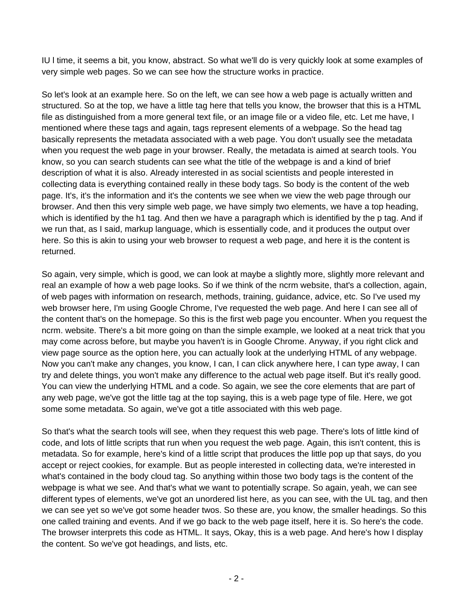IU l time, it seems a bit, you know, abstract. So what we'll do is very quickly look at some examples of very simple web pages. So we can see how the structure works in practice.

So let's look at an example here. So on the left, we can see how a web page is actually written and structured. So at the top, we have a little tag here that tells you know, the browser that this is a HTML file as distinguished from a more general text file, or an image file or a video file, etc. Let me have, I mentioned where these tags and again, tags represent elements of a webpage. So the head tag basically represents the metadata associated with a web page. You don't usually see the metadata when you request the web page in your browser. Really, the metadata is aimed at search tools. You know, so you can search students can see what the title of the webpage is and a kind of brief description of what it is also. Already interested in as social scientists and people interested in collecting data is everything contained really in these body tags. So body is the content of the web page. It's, it's the information and it's the contents we see when we view the web page through our browser. And then this very simple web page, we have simply two elements, we have a top heading, which is identified by the h1 tag. And then we have a paragraph which is identified by the p tag. And if we run that, as I said, markup language, which is essentially code, and it produces the output over here. So this is akin to using your web browser to request a web page, and here it is the content is returned.

So again, very simple, which is good, we can look at maybe a slightly more, slightly more relevant and real an example of how a web page looks. So if we think of the ncrm website, that's a collection, again, of web pages with information on research, methods, training, guidance, advice, etc. So I've used my web browser here, I'm using Google Chrome, I've requested the web page. And here I can see all of the content that's on the homepage. So this is the first web page you encounter. When you request the ncrm. website. There's a bit more going on than the simple example, we looked at a neat trick that you may come across before, but maybe you haven't is in Google Chrome. Anyway, if you right click and view page source as the option here, you can actually look at the underlying HTML of any webpage. Now you can't make any changes, you know, I can, I can click anywhere here, I can type away, I can try and delete things, you won't make any difference to the actual web page itself. But it's really good. You can view the underlying HTML and a code. So again, we see the core elements that are part of any web page, we've got the little tag at the top saying, this is a web page type of file. Here, we got some some metadata. So again, we've got a title associated with this web page.

So that's what the search tools will see, when they request this web page. There's lots of little kind of code, and lots of little scripts that run when you request the web page. Again, this isn't content, this is metadata. So for example, here's kind of a little script that produces the little pop up that says, do you accept or reject cookies, for example. But as people interested in collecting data, we're interested in what's contained in the body cloud tag. So anything within those two body tags is the content of the webpage is what we see. And that's what we want to potentially scrape. So again, yeah, we can see different types of elements, we've got an unordered list here, as you can see, with the UL tag, and then we can see yet so we've got some header twos. So these are, you know, the smaller headings. So this one called training and events. And if we go back to the web page itself, here it is. So here's the code. The browser interprets this code as HTML. It says, Okay, this is a web page. And here's how I display the content. So we've got headings, and lists, etc.